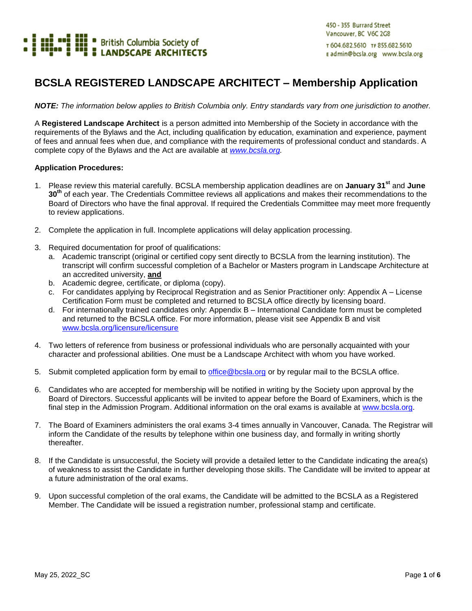

#### **BCSLA REGISTERED LANDSCAPE ARCHITECT – Membership Application**

*NOTE: The information below applies to British Columbia only. Entry standards vary from one jurisdiction to another.* 

A **Registered Landscape Architect** is a person admitted into Membership of the Society in accordance with the requirements of the Bylaws and the Act, including qualification by education, examination and experience, payment of fees and annual fees when due, and compliance with the requirements of professional conduct and standards. A complete copy of the Bylaws and the Act are available at *[www.bcsla.org.](http://www.bcsla.org/)*

#### **Application Procedures:**

- 1. Please review this material carefully. BCSLA membership application deadlines are on **January 31st** and **June 30th** of each year. The Credentials Committee reviews all applications and makes their recommendations to the Board of Directors who have the final approval. If required the Credentials Committee may meet more frequently to review applications.
- 2. Complete the application in full. Incomplete applications will delay application processing.
- 3. Required documentation for proof of qualifications:
	- a. Academic transcript (original or certified copy sent directly to BCSLA from the learning institution). The transcript will confirm successful completion of a Bachelor or Masters program in Landscape Architecture at an accredited university, **and**
	- b. Academic degree, certificate, or diploma (copy).
	- c. For candidates applying by Reciprocal Registration and as Senior Practitioner only: Appendix A License Certification Form must be completed and returned to BCSLA office directly by licensing board.
	- d. For internationally trained candidates only: Appendix B International Candidate form must be completed and returned to the BCSLA office. For more information, please visit see Appendix B and visit [www.bcsla.org/licensure/licensure](http://www.bcsla.org/licensure/licensure)
- 4. Two letters of reference from business or professional individuals who are personally acquainted with your character and professional abilities. One must be a Landscape Architect with whom you have worked.
- 5. Submit completed application form by email to [office@bcsla.org](mailto:office@bcsla.org) or by regular mail to the BCSLA office.
- 6. Candidates who are accepted for membership will be notified in writing by the Society upon approval by the Board of Directors. Successful applicants will be invited to appear before the Board of Examiners, which is the final step in the Admission Program. Additional information on the oral exams is available at [www.bcsla.org.](http://www.bcsla.org/)
- 7. The Board of Examiners administers the oral exams 3-4 times annually in Vancouver, Canada. The Registrar will inform the Candidate of the results by telephone within one business day, and formally in writing shortly thereafter.
- 8. If the Candidate is unsuccessful, the Society will provide a detailed letter to the Candidate indicating the area(s) of weakness to assist the Candidate in further developing those skills. The Candidate will be invited to appear at a future administration of the oral exams.
- 9. Upon successful completion of the oral exams, the Candidate will be admitted to the BCSLA as a Registered Member. The Candidate will be issued a registration number, professional stamp and certificate.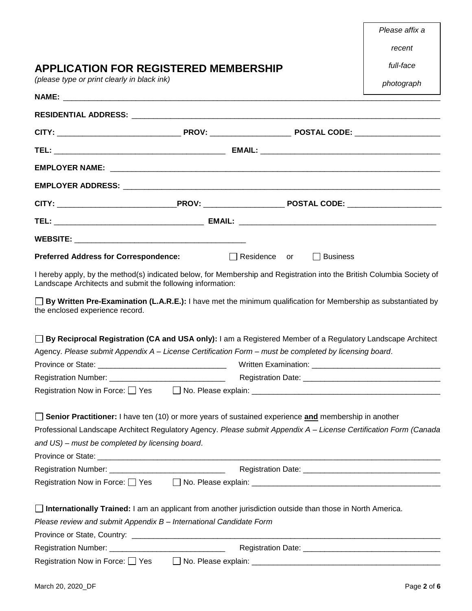| c<br>, |
|--------|
|--------|

#### **APPLICATION FOR REGISTERED MEMBERSHIP**

*(please type or print clearly in black ink)* 

*full-face* 

*photograph*

| <b>Preferred Address for Correspondence:</b>                                                                                                                                                                                                                                               | $\Box$ Residence or | $\Box$ Business |  |
|--------------------------------------------------------------------------------------------------------------------------------------------------------------------------------------------------------------------------------------------------------------------------------------------|---------------------|-----------------|--|
| I hereby apply, by the method(s) indicated below, for Membership and Registration into the British Columbia Society of<br>Landscape Architects and submit the following information:                                                                                                       |                     |                 |  |
| $\Box$ By Written Pre-Examination (L.A.R.E.): I have met the minimum qualification for Membership as substantiated by<br>the enclosed experience record.                                                                                                                                   |                     |                 |  |
| □ By Reciprocal Registration (CA and USA only): I am a Registered Member of a Regulatory Landscape Architect                                                                                                                                                                               |                     |                 |  |
| Agency. Please submit Appendix A - License Certification Form - must be completed by licensing board.                                                                                                                                                                                      |                     |                 |  |
|                                                                                                                                                                                                                                                                                            |                     |                 |  |
|                                                                                                                                                                                                                                                                                            |                     |                 |  |
| Registration Now in Force: Yes Alb. Please explain: Albert Communication Now in Force: Yes Alb. Please explain:                                                                                                                                                                            |                     |                 |  |
| <b>Senior Practitioner:</b> I have ten (10) or more years of sustained experience <b>and</b> membership in another<br>Professional Landscape Architect Regulatory Agency. Please submit Appendix A - License Certification Form (Canada<br>and US) - must be completed by licensing board. |                     |                 |  |
| Registration Number: __________________________________                                                                                                                                                                                                                                    |                     |                 |  |
|                                                                                                                                                                                                                                                                                            |                     |                 |  |
| <b>Internationally Trained:</b> I am an applicant from another jurisdiction outside than those in North America.<br>Please review and submit Appendix B - International Candidate Form                                                                                                     |                     |                 |  |
| Registration Number: _________________________________                                                                                                                                                                                                                                     |                     |                 |  |
| Registration Now in Force: □ Yes                                                                                                                                                                                                                                                           |                     |                 |  |
|                                                                                                                                                                                                                                                                                            |                     |                 |  |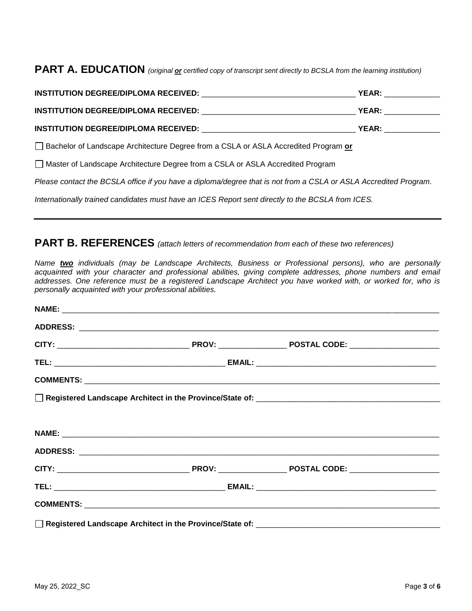**PART A. EDUCATION** *(original or certified copy of transcript sent directly to BCSLA from the learning institution)* 

|                                                                                                                  | <b>YEAR: ______________</b> ___ |
|------------------------------------------------------------------------------------------------------------------|---------------------------------|
|                                                                                                                  | <b>YEAR: _______________</b>    |
|                                                                                                                  |                                 |
| □ Bachelor of Landscape Architecture Degree from a CSLA or ASLA Accredited Program or                            |                                 |
| Master of Landscape Architecture Degree from a CSLA or ASLA Accredited Program                                   |                                 |
| Please contact the BCSLA office if you have a diploma/degree that is not from a CSLA or ASLA Accredited Program. |                                 |
| Internationally trained candidates must have an ICES Report sent directly to the BCSLA from ICES.                |                                 |

#### **PART B. REFERENCES** *(attach letters of recommendation from each of these two references)*

*Name two individuals (may be Landscape Architects, Business or Professional persons), who are personally*  acquainted with your character and professional abilities, giving complete addresses, phone numbers and email *addresses. One reference must be a registered Landscape Architect you have worked with, or worked for, who is personally acquainted with your professional abilities.*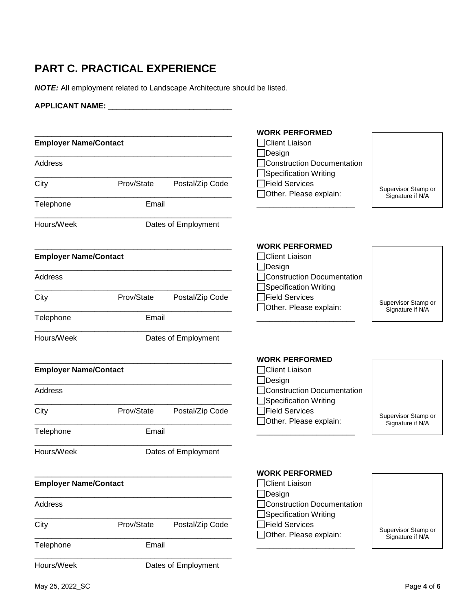# **PART C. PRACTICAL EXPERIENCE**

*NOTE:* All employment related to Landscape Architecture should be listed.

| <b>APPLICANT NAME:</b>       |            |                     |                                                            |                                         |
|------------------------------|------------|---------------------|------------------------------------------------------------|-----------------------------------------|
| <b>Employer Name/Contact</b> |            |                     | <b>WORK PERFORMED</b><br>Client Liaison<br>]Design         |                                         |
| <b>Address</b>               |            |                     | Construction Documentation<br>Specification Writing        |                                         |
| City                         | Prov/State | Postal/Zip Code     | Field Services<br>Other. Please explain:                   | Supervisor Stamp or<br>Signature if N/A |
| Telephone                    | Email      |                     |                                                            |                                         |
| Hours/Week                   |            | Dates of Employment |                                                            |                                         |
| <b>Employer Name/Contact</b> |            |                     | <b>WORK PERFORMED</b><br>Client Liaison<br>_lDesign        |                                         |
| Address                      |            |                     | Construction Documentation<br>Specification Writing        |                                         |
| City                         | Prov/State | Postal/Zip Code     | Field Services<br>Other. Please explain:                   | Supervisor Stamp or<br>Signature if N/A |
| Telephone                    | Email      |                     |                                                            |                                         |
| Hours/Week                   |            | Dates of Employment |                                                            |                                         |
| <b>Employer Name/Contact</b> |            |                     | <b>WORK PERFORMED</b><br>Client Liaison<br>Design          |                                         |
| Address                      |            |                     | <b>Construction Documentation</b><br>Specification Writing |                                         |
| City                         | Prov/State | Postal/Zip Code     | Field Services<br>Other. Please explain:                   | Supervisor Stamp or<br>Signature if N/A |
| Telephone                    | Email      |                     |                                                            |                                         |
| Hours/Week                   |            | Dates of Employment |                                                            |                                         |
| <b>Employer Name/Contact</b> |            |                     | <b>WORK PERFORMED</b><br>□Client Liaison<br>]Design        |                                         |
| Address                      |            |                     | <b>Construction Documentation</b><br>Specification Writing |                                         |
| City                         | Prov/State | Postal/Zip Code     | Field Services<br>Other. Please explain:                   | Supervisor Stamp or<br>Signature if N/A |
| Telephone                    | Email      |                     |                                                            |                                         |
| Hours/Week                   |            | Dates of Employment |                                                            |                                         |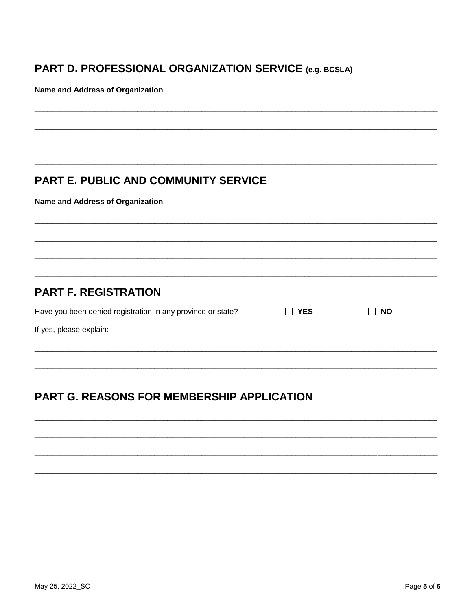### PART D. PROFESSIONAL ORGANIZATION SERVICE (e.g. BCSLA)

Name and Address of Organization

#### PART E. PUBLIC AND COMMUNITY SERVICE

**Name and Address of Organization** 

#### **PART F. REGISTRATION**

| Have you been denied registration in any province or state? | YES | NO |
|-------------------------------------------------------------|-----|----|
| If yes, please explain:                                     |     |    |
|                                                             |     |    |

# PART G. REASONS FOR MEMBERSHIP APPLICATION